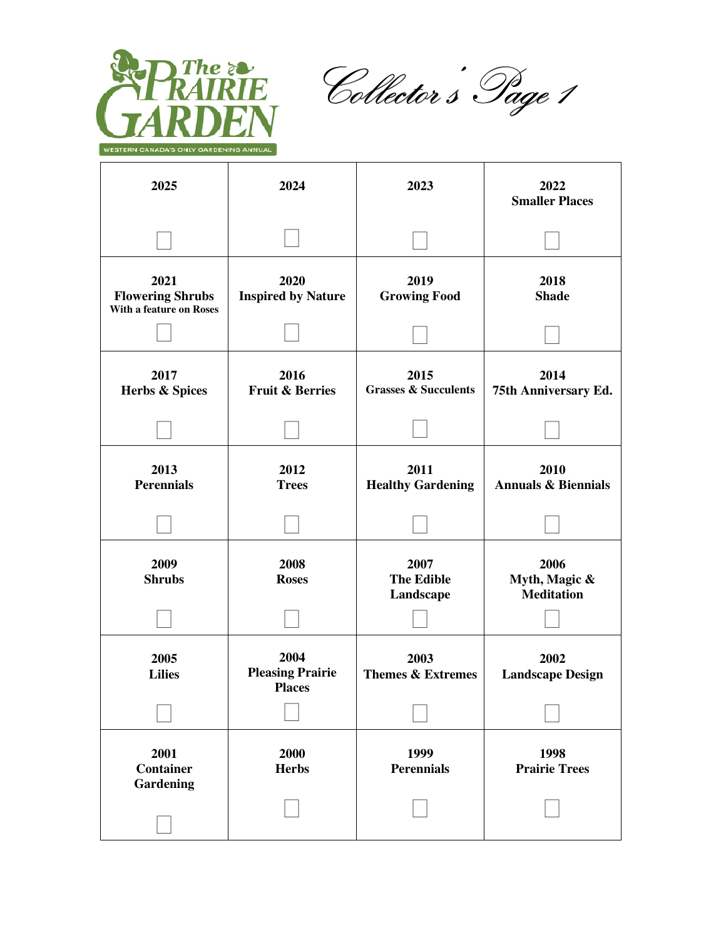

The served<br>The Collector's Page 1<br>DNEN

| 2025                                                       | 2024                                             | 2023                                    | 2022<br><b>Smaller Places</b>              |
|------------------------------------------------------------|--------------------------------------------------|-----------------------------------------|--------------------------------------------|
|                                                            |                                                  |                                         |                                            |
| 2021<br><b>Flowering Shrubs</b><br>With a feature on Roses | 2020<br><b>Inspired by Nature</b>                | 2019<br><b>Growing Food</b>             | 2018<br><b>Shade</b>                       |
|                                                            |                                                  |                                         |                                            |
| 2017<br>Herbs & Spices                                     | 2016<br><b>Fruit &amp; Berries</b>               | 2015<br><b>Grasses &amp; Succulents</b> | 2014<br>75th Anniversary Ed.               |
|                                                            |                                                  |                                         |                                            |
| 2013<br><b>Perennials</b>                                  | 2012<br><b>Trees</b>                             | 2011<br><b>Healthy Gardening</b>        | 2010<br><b>Annuals &amp; Biennials</b>     |
|                                                            |                                                  |                                         |                                            |
| 2009<br><b>Shrubs</b>                                      | 2008<br><b>Roses</b>                             | 2007<br><b>The Edible</b><br>Landscape  | 2006<br>Myth, Magic &<br><b>Meditation</b> |
|                                                            |                                                  |                                         |                                            |
| 2005<br><b>Lilies</b>                                      | 2004<br><b>Pleasing Prairie</b><br><b>Places</b> | 2003<br><b>Themes &amp; Extremes</b>    | 2002<br><b>Landscape Design</b>            |
|                                                            |                                                  |                                         |                                            |
| 2001<br><b>Container</b><br>Gardening                      | 2000<br><b>Herbs</b>                             | 1999<br><b>Perennials</b>               | 1998<br><b>Prairie Trees</b>               |
|                                                            |                                                  |                                         |                                            |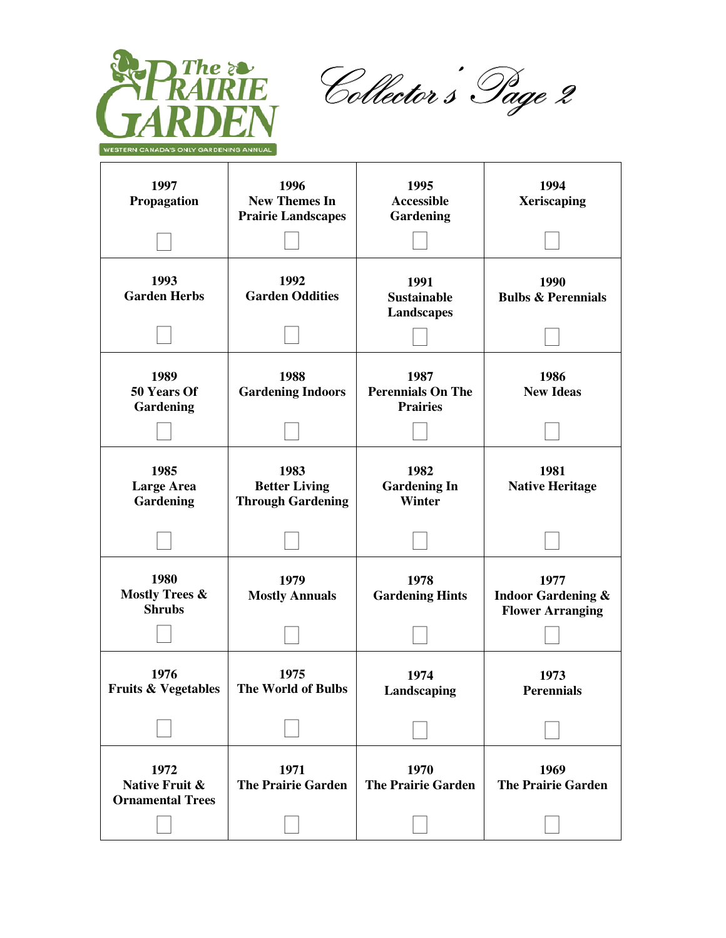

The served<br>Collector's Page 2<br>DNEN

| 1997<br>Propagation                                | 1996<br><b>New Themes In</b><br><b>Prairie Landscapes</b> | 1995<br><b>Accessible</b><br>Gardening              | 1994<br><b>Xeriscaping</b>                                       |
|----------------------------------------------------|-----------------------------------------------------------|-----------------------------------------------------|------------------------------------------------------------------|
|                                                    |                                                           |                                                     |                                                                  |
| 1993<br><b>Garden Herbs</b>                        | 1992<br><b>Garden Oddities</b>                            | 1991<br><b>Sustainable</b><br><b>Landscapes</b>     | 1990<br><b>Bulbs &amp; Perennials</b>                            |
|                                                    |                                                           |                                                     |                                                                  |
| 1989<br>50 Years Of<br>Gardening                   | 1988<br><b>Gardening Indoors</b>                          | 1987<br><b>Perennials On The</b><br><b>Prairies</b> | 1986<br><b>New Ideas</b>                                         |
| 1985<br><b>Large Area</b><br>Gardening             | 1983<br><b>Better Living</b><br><b>Through Gardening</b>  | 1982<br><b>Gardening In</b><br><b>Winter</b>        | 1981<br><b>Native Heritage</b>                                   |
|                                                    |                                                           |                                                     |                                                                  |
| 1980<br><b>Mostly Trees &amp;</b><br><b>Shrubs</b> | 1979<br><b>Mostly Annuals</b>                             | 1978<br><b>Gardening Hints</b>                      | 1977<br><b>Indoor Gardening &amp;</b><br><b>Flower Arranging</b> |
|                                                    |                                                           |                                                     |                                                                  |
| 1976<br><b>Fruits &amp; Vegetables</b>             | 1975<br>The World of Bulbs                                | 1974<br>Landscaping                                 | 1973<br><b>Perennials</b>                                        |
|                                                    |                                                           |                                                     |                                                                  |
| 1972<br>Native Fruit &<br><b>Ornamental Trees</b>  | 1971<br><b>The Prairie Garden</b>                         | 1970<br><b>The Prairie Garden</b>                   | 1969<br><b>The Prairie Garden</b>                                |
|                                                    |                                                           |                                                     |                                                                  |